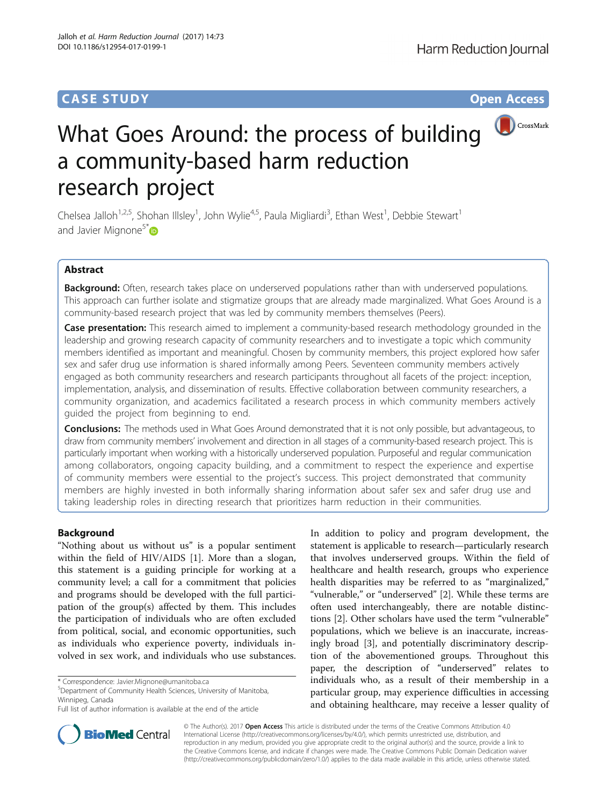# **CASE STUDY CASE STUDY Open Access**



# What Goes Around: the process of building a community-based harm reduction research project

Chelsea Jalloh<sup>1,2,5</sup>, Shohan Illsley<sup>1</sup>, John Wylie<sup>4,5</sup>, Paula Migliardi<sup>3</sup>, Ethan West<sup>1</sup>, Debbie Stewart<sup>1</sup> and Javier Mignone<sup>5[\\*](http://orcid.org/0000-0001-7248-9341)</sup>

## Abstract

Background: Often, research takes place on underserved populations rather than with underserved populations. This approach can further isolate and stigmatize groups that are already made marginalized. What Goes Around is a community-based research project that was led by community members themselves (Peers).

Case presentation: This research aimed to implement a community-based research methodology grounded in the leadership and growing research capacity of community researchers and to investigate a topic which community members identified as important and meaningful. Chosen by community members, this project explored how safer sex and safer drug use information is shared informally among Peers. Seventeen community members actively engaged as both community researchers and research participants throughout all facets of the project: inception, implementation, analysis, and dissemination of results. Effective collaboration between community researchers, a community organization, and academics facilitated a research process in which community members actively guided the project from beginning to end.

**Conclusions:** The methods used in What Goes Around demonstrated that it is not only possible, but advantageous, to draw from community members' involvement and direction in all stages of a community-based research project. This is particularly important when working with a historically underserved population. Purposeful and regular communication among collaborators, ongoing capacity building, and a commitment to respect the experience and expertise of community members were essential to the project's success. This project demonstrated that community members are highly invested in both informally sharing information about safer sex and safer drug use and taking leadership roles in directing research that prioritizes harm reduction in their communities.

### Background

"Nothing about us without us" is a popular sentiment within the field of HIV/AIDS [[1\]](#page-7-0). More than a slogan, this statement is a guiding principle for working at a community level; a call for a commitment that policies and programs should be developed with the full participation of the group(s) affected by them. This includes the participation of individuals who are often excluded from political, social, and economic opportunities, such as individuals who experience poverty, individuals involved in sex work, and individuals who use substances.

Department of Community Health Sciences, University of Manitoba, Winnipeg, Canada

In addition to policy and program development, the statement is applicable to research—particularly research that involves underserved groups. Within the field of healthcare and health research, groups who experience health disparities may be referred to as "marginalized," "vulnerable," or "underserved" [[2\]](#page-7-0). While these terms are often used interchangeably, there are notable distinctions [[2\]](#page-7-0). Other scholars have used the term "vulnerable" populations, which we believe is an inaccurate, increasingly broad [\[3](#page-7-0)], and potentially discriminatory description of the abovementioned groups. Throughout this paper, the description of "underserved" relates to individuals who, as a result of their membership in a particular group, may experience difficulties in accessing and obtaining healthcare, may receive a lesser quality of



© The Author(s). 2017 **Open Access** This article is distributed under the terms of the Creative Commons Attribution 4.0 International License [\(http://creativecommons.org/licenses/by/4.0/](http://creativecommons.org/licenses/by/4.0/)), which permits unrestricted use, distribution, and reproduction in any medium, provided you give appropriate credit to the original author(s) and the source, provide a link to the Creative Commons license, and indicate if changes were made. The Creative Commons Public Domain Dedication waiver [\(http://creativecommons.org/publicdomain/zero/1.0/](http://creativecommons.org/publicdomain/zero/1.0/)) applies to the data made available in this article, unless otherwise stated.

<sup>\*</sup> Correspondence: [Javier.Mignone@umanitoba.ca](mailto:Javier.Mignone@umanitoba.ca) <sup>5</sup>

Full list of author information is available at the end of the article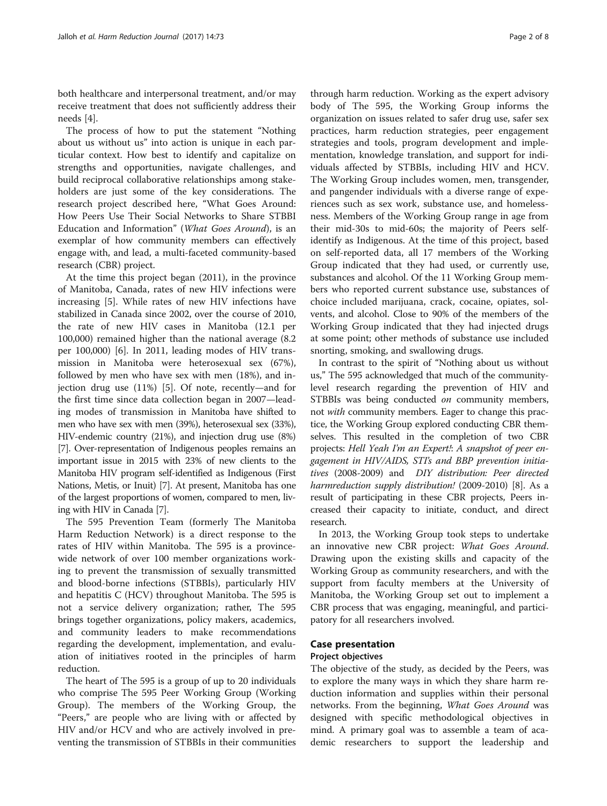both healthcare and interpersonal treatment, and/or may receive treatment that does not sufficiently address their needs [[4\]](#page-7-0).

The process of how to put the statement "Nothing about us without us" into action is unique in each particular context. How best to identify and capitalize on strengths and opportunities, navigate challenges, and build reciprocal collaborative relationships among stakeholders are just some of the key considerations. The research project described here, "What Goes Around: How Peers Use Their Social Networks to Share STBBI Education and Information" (What Goes Around), is an exemplar of how community members can effectively engage with, and lead, a multi-faceted community-based research (CBR) project.

At the time this project began (2011), in the province of Manitoba, Canada, rates of new HIV infections were increasing [[5](#page-7-0)]. While rates of new HIV infections have stabilized in Canada since 2002, over the course of 2010, the rate of new HIV cases in Manitoba (12.1 per 100,000) remained higher than the national average (8.2 per 100,000) [[6\]](#page-7-0). In 2011, leading modes of HIV transmission in Manitoba were heterosexual sex (67%), followed by men who have sex with men (18%), and injection drug use (11%) [\[5](#page-7-0)]. Of note, recently—and for the first time since data collection began in 2007—leading modes of transmission in Manitoba have shifted to men who have sex with men (39%), heterosexual sex (33%), HIV-endemic country (21%), and injection drug use (8%) [[7](#page-7-0)]. Over-representation of Indigenous peoples remains an important issue in 2015 with 23% of new clients to the Manitoba HIV program self-identified as Indigenous (First Nations, Metis, or Inuit) [\[7](#page-7-0)]. At present, Manitoba has one of the largest proportions of women, compared to men, living with HIV in Canada [\[7\]](#page-7-0).

The 595 Prevention Team (formerly The Manitoba Harm Reduction Network) is a direct response to the rates of HIV within Manitoba. The 595 is a provincewide network of over 100 member organizations working to prevent the transmission of sexually transmitted and blood-borne infections (STBBIs), particularly HIV and hepatitis C (HCV) throughout Manitoba. The 595 is not a service delivery organization; rather, The 595 brings together organizations, policy makers, academics, and community leaders to make recommendations regarding the development, implementation, and evaluation of initiatives rooted in the principles of harm reduction.

The heart of The 595 is a group of up to 20 individuals who comprise The 595 Peer Working Group (Working Group). The members of the Working Group, the "Peers," are people who are living with or affected by HIV and/or HCV and who are actively involved in preventing the transmission of STBBIs in their communities

through harm reduction. Working as the expert advisory body of The 595, the Working Group informs the organization on issues related to safer drug use, safer sex practices, harm reduction strategies, peer engagement strategies and tools, program development and implementation, knowledge translation, and support for individuals affected by STBBIs, including HIV and HCV. The Working Group includes women, men, transgender, and pangender individuals with a diverse range of experiences such as sex work, substance use, and homelessness. Members of the Working Group range in age from their mid-30s to mid-60s; the majority of Peers selfidentify as Indigenous. At the time of this project, based on self-reported data, all 17 members of the Working Group indicated that they had used, or currently use, substances and alcohol. Of the 11 Working Group members who reported current substance use, substances of choice included marijuana, crack, cocaine, opiates, solvents, and alcohol. Close to 90% of the members of the Working Group indicated that they had injected drugs at some point; other methods of substance use included snorting, smoking, and swallowing drugs.

In contrast to the spirit of "Nothing about us without us," The 595 acknowledged that much of the communitylevel research regarding the prevention of HIV and STBBIs was being conducted on community members, not with community members. Eager to change this practice, the Working Group explored conducting CBR themselves. This resulted in the completion of two CBR projects: Hell Yeah I'm an Expert!: A snapshot of peer engagement in HIV/AIDS, STI's and BBP prevention initiatives (2008-2009) and DIY distribution: Peer directed harmreduction supply distribution! (2009-2010) [[8](#page-7-0)]. As a result of participating in these CBR projects, Peers increased their capacity to initiate, conduct, and direct research.

In 2013, the Working Group took steps to undertake an innovative new CBR project: What Goes Around. Drawing upon the existing skills and capacity of the Working Group as community researchers, and with the support from faculty members at the University of Manitoba, the Working Group set out to implement a CBR process that was engaging, meaningful, and participatory for all researchers involved.

#### Case presentation

#### Project objectives

The objective of the study, as decided by the Peers, was to explore the many ways in which they share harm reduction information and supplies within their personal networks. From the beginning, What Goes Around was designed with specific methodological objectives in mind. A primary goal was to assemble a team of academic researchers to support the leadership and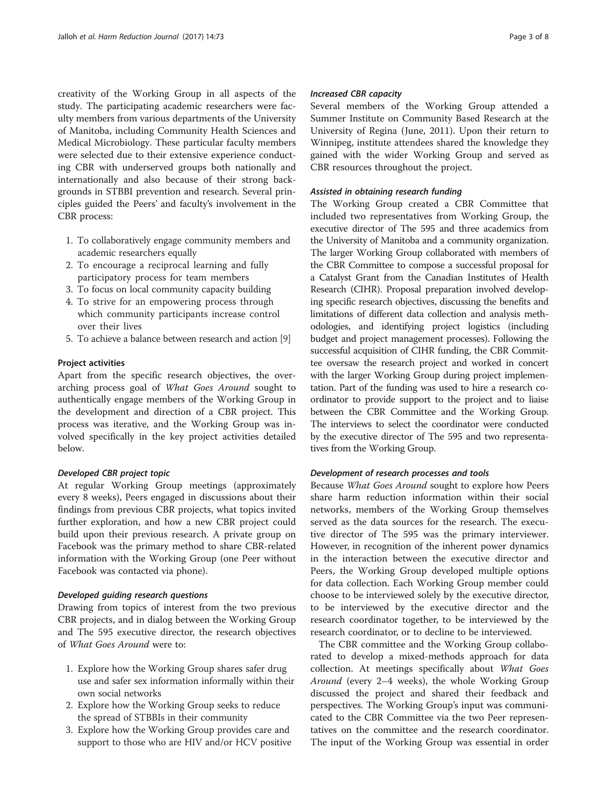creativity of the Working Group in all aspects of the study. The participating academic researchers were faculty members from various departments of the University of Manitoba, including Community Health Sciences and Medical Microbiology. These particular faculty members were selected due to their extensive experience conducting CBR with underserved groups both nationally and internationally and also because of their strong backgrounds in STBBI prevention and research. Several principles guided the Peers' and faculty's involvement in the CBR process:

- 1. To collaboratively engage community members and academic researchers equally
- 2. To encourage a reciprocal learning and fully participatory process for team members
- 3. To focus on local community capacity building
- 4. To strive for an empowering process through which community participants increase control over their lives
- 5. To achieve a balance between research and action [[9\]](#page-7-0)

#### Project activities

Apart from the specific research objectives, the overarching process goal of What Goes Around sought to authentically engage members of the Working Group in the development and direction of a CBR project. This process was iterative, and the Working Group was involved specifically in the key project activities detailed below.

#### Developed CBR project topic

At regular Working Group meetings (approximately every 8 weeks), Peers engaged in discussions about their findings from previous CBR projects, what topics invited further exploration, and how a new CBR project could build upon their previous research. A private group on Facebook was the primary method to share CBR-related information with the Working Group (one Peer without Facebook was contacted via phone).

#### Developed guiding research questions

Drawing from topics of interest from the two previous CBR projects, and in dialog between the Working Group and The 595 executive director, the research objectives of What Goes Around were to:

- 1. Explore how the Working Group shares safer drug use and safer sex information informally within their own social networks
- 2. Explore how the Working Group seeks to reduce the spread of STBBIs in their community
- 3. Explore how the Working Group provides care and support to those who are HIV and/or HCV positive

#### Increased CBR capacity

Several members of the Working Group attended a Summer Institute on Community Based Research at the University of Regina (June, 2011). Upon their return to Winnipeg, institute attendees shared the knowledge they gained with the wider Working Group and served as CBR resources throughout the project.

#### Assisted in obtaining research funding

The Working Group created a CBR Committee that included two representatives from Working Group, the executive director of The 595 and three academics from the University of Manitoba and a community organization. The larger Working Group collaborated with members of the CBR Committee to compose a successful proposal for a Catalyst Grant from the Canadian Institutes of Health Research (CIHR). Proposal preparation involved developing specific research objectives, discussing the benefits and limitations of different data collection and analysis methodologies, and identifying project logistics (including budget and project management processes). Following the successful acquisition of CIHR funding, the CBR Committee oversaw the research project and worked in concert with the larger Working Group during project implementation. Part of the funding was used to hire a research coordinator to provide support to the project and to liaise between the CBR Committee and the Working Group. The interviews to select the coordinator were conducted by the executive director of The 595 and two representatives from the Working Group.

#### Development of research processes and tools

Because What Goes Around sought to explore how Peers share harm reduction information within their social networks, members of the Working Group themselves served as the data sources for the research. The executive director of The 595 was the primary interviewer. However, in recognition of the inherent power dynamics in the interaction between the executive director and Peers, the Working Group developed multiple options for data collection. Each Working Group member could choose to be interviewed solely by the executive director, to be interviewed by the executive director and the research coordinator together, to be interviewed by the research coordinator, or to decline to be interviewed.

The CBR committee and the Working Group collaborated to develop a mixed-methods approach for data collection. At meetings specifically about What Goes Around (every 2–4 weeks), the whole Working Group discussed the project and shared their feedback and perspectives. The Working Group's input was communicated to the CBR Committee via the two Peer representatives on the committee and the research coordinator. The input of the Working Group was essential in order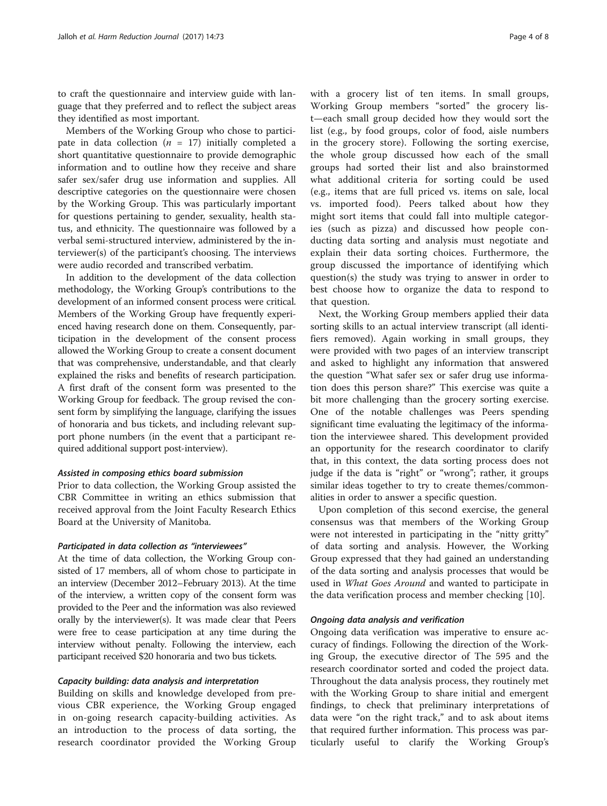to craft the questionnaire and interview guide with language that they preferred and to reflect the subject areas they identified as most important.

Members of the Working Group who chose to participate in data collection ( $n = 17$ ) initially completed a short quantitative questionnaire to provide demographic information and to outline how they receive and share safer sex/safer drug use information and supplies. All descriptive categories on the questionnaire were chosen by the Working Group. This was particularly important for questions pertaining to gender, sexuality, health status, and ethnicity. The questionnaire was followed by a verbal semi-structured interview, administered by the interviewer(s) of the participant's choosing. The interviews were audio recorded and transcribed verbatim.

In addition to the development of the data collection methodology, the Working Group's contributions to the development of an informed consent process were critical. Members of the Working Group have frequently experienced having research done on them. Consequently, participation in the development of the consent process allowed the Working Group to create a consent document that was comprehensive, understandable, and that clearly explained the risks and benefits of research participation. A first draft of the consent form was presented to the Working Group for feedback. The group revised the consent form by simplifying the language, clarifying the issues of honoraria and bus tickets, and including relevant support phone numbers (in the event that a participant required additional support post-interview).

#### Assisted in composing ethics board submission

Prior to data collection, the Working Group assisted the CBR Committee in writing an ethics submission that received approval from the Joint Faculty Research Ethics Board at the University of Manitoba.

#### Participated in data collection as "interviewees"

At the time of data collection, the Working Group consisted of 17 members, all of whom chose to participate in an interview (December 2012–February 2013). At the time of the interview, a written copy of the consent form was provided to the Peer and the information was also reviewed orally by the interviewer(s). It was made clear that Peers were free to cease participation at any time during the interview without penalty. Following the interview, each participant received \$20 honoraria and two bus tickets.

#### Capacity building: data analysis and interpretation

Building on skills and knowledge developed from previous CBR experience, the Working Group engaged in on-going research capacity-building activities. As an introduction to the process of data sorting, the research coordinator provided the Working Group with a grocery list of ten items. In small groups, Working Group members "sorted" the grocery list—each small group decided how they would sort the list (e.g., by food groups, color of food, aisle numbers in the grocery store). Following the sorting exercise, the whole group discussed how each of the small groups had sorted their list and also brainstormed what additional criteria for sorting could be used (e.g., items that are full priced vs. items on sale, local vs. imported food). Peers talked about how they might sort items that could fall into multiple categories (such as pizza) and discussed how people conducting data sorting and analysis must negotiate and explain their data sorting choices. Furthermore, the group discussed the importance of identifying which question(s) the study was trying to answer in order to best choose how to organize the data to respond to that question.

Next, the Working Group members applied their data sorting skills to an actual interview transcript (all identifiers removed). Again working in small groups, they were provided with two pages of an interview transcript and asked to highlight any information that answered the question "What safer sex or safer drug use information does this person share?" This exercise was quite a bit more challenging than the grocery sorting exercise. One of the notable challenges was Peers spending significant time evaluating the legitimacy of the information the interviewee shared. This development provided an opportunity for the research coordinator to clarify that, in this context, the data sorting process does not judge if the data is "right" or "wrong"; rather, it groups similar ideas together to try to create themes/commonalities in order to answer a specific question.

Upon completion of this second exercise, the general consensus was that members of the Working Group were not interested in participating in the "nitty gritty" of data sorting and analysis. However, the Working Group expressed that they had gained an understanding of the data sorting and analysis processes that would be used in What Goes Around and wanted to participate in the data verification process and member checking [[10](#page-7-0)].

#### Ongoing data analysis and verification

Ongoing data verification was imperative to ensure accuracy of findings. Following the direction of the Working Group, the executive director of The 595 and the research coordinator sorted and coded the project data. Throughout the data analysis process, they routinely met with the Working Group to share initial and emergent findings, to check that preliminary interpretations of data were "on the right track," and to ask about items that required further information. This process was particularly useful to clarify the Working Group's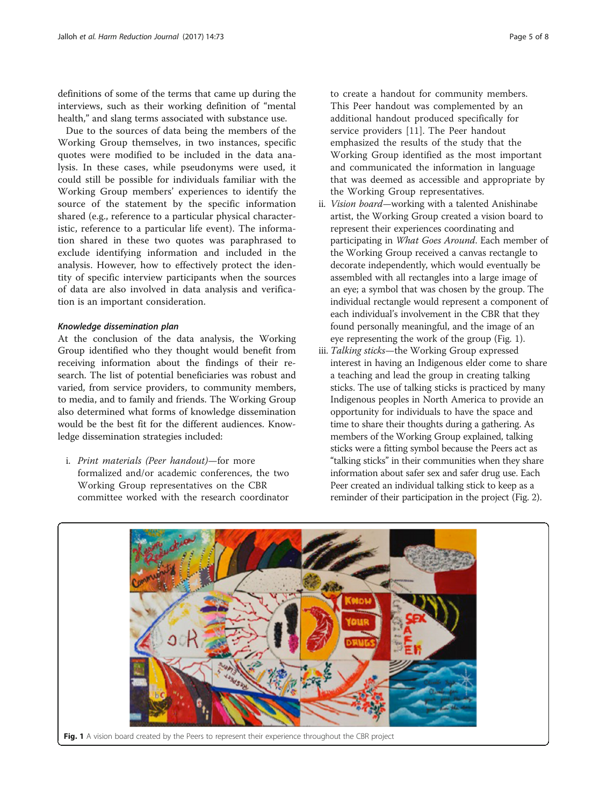definitions of some of the terms that came up during the interviews, such as their working definition of "mental health," and slang terms associated with substance use.

Due to the sources of data being the members of the Working Group themselves, in two instances, specific quotes were modified to be included in the data analysis. In these cases, while pseudonyms were used, it could still be possible for individuals familiar with the Working Group members' experiences to identify the source of the statement by the specific information shared (e.g., reference to a particular physical characteristic, reference to a particular life event). The information shared in these two quotes was paraphrased to exclude identifying information and included in the analysis. However, how to effectively protect the identity of specific interview participants when the sources of data are also involved in data analysis and verification is an important consideration.

#### Knowledge dissemination plan

At the conclusion of the data analysis, the Working Group identified who they thought would benefit from receiving information about the findings of their research. The list of potential beneficiaries was robust and varied, from service providers, to community members, to media, and to family and friends. The Working Group also determined what forms of knowledge dissemination would be the best fit for the different audiences. Knowledge dissemination strategies included:

i. Print materials (Peer handout)—for more formalized and/or academic conferences, the two Working Group representatives on the CBR committee worked with the research coordinator

to create a handout for community members. This Peer handout was complemented by an additional handout produced specifically for service providers [[11\]](#page-7-0). The Peer handout emphasized the results of the study that the Working Group identified as the most important and communicated the information in language that was deemed as accessible and appropriate by the Working Group representatives.

- ii. Vision board—working with a talented Anishinabe artist, the Working Group created a vision board to represent their experiences coordinating and participating in What Goes Around. Each member of the Working Group received a canvas rectangle to decorate independently, which would eventually be assembled with all rectangles into a large image of an eye; a symbol that was chosen by the group. The individual rectangle would represent a component of each individual's involvement in the CBR that they found personally meaningful, and the image of an eye representing the work of the group (Fig. 1).
- iii. Talking sticks—the Working Group expressed interest in having an Indigenous elder come to share a teaching and lead the group in creating talking sticks. The use of talking sticks is practiced by many Indigenous peoples in North America to provide an opportunity for individuals to have the space and time to share their thoughts during a gathering. As members of the Working Group explained, talking sticks were a fitting symbol because the Peers act as "talking sticks" in their communities when they share information about safer sex and safer drug use. Each Peer created an individual talking stick to keep as a reminder of their participation in the project (Fig. [2\)](#page-5-0).

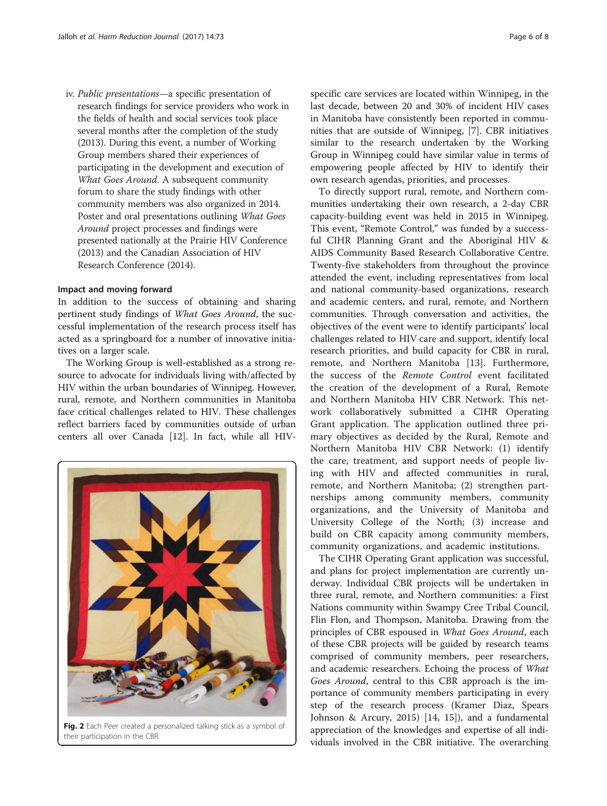<span id="page-5-0"></span>iv. Public presentations—a specific presentation of research findings for service providers who work in the fields of health and social services took place several months after the completion of the study (2013). During this event, a number of Working Group members shared their experiences of participating in the development and execution of What Goes Around. A subsequent community forum to share the study findings with other community members was also organized in 2014. Poster and oral presentations outlining What Goes Around project processes and findings were presented nationally at the Prairie HIV Conference (2013) and the Canadian Association of HIV Research Conference (2014).

#### Impact and moving forward

In addition to the success of obtaining and sharing pertinent study findings of What Goes Around, the successful implementation of the research process itself has acted as a springboard for a number of innovative initiatives on a larger scale.

The Working Group is well-established as a strong resource to advocate for individuals living with/affected by HIV within the urban boundaries of Winnipeg. However, rural, remote, and Northern communities in Manitoba face critical challenges related to HIV. These challenges reflect barriers faced by communities outside of urban centers all over Canada [\[12](#page-7-0)]. In fact, while all HIV-



Fig. 2 Each Peer created a personalized talking stick as a symbol of their participation in the CBR

specific care services are located within Winnipeg, in the last decade, between 20 and 30% of incident HIV cases in Manitoba have consistently been reported in communities that are outside of Winnipeg, [[7\]](#page-7-0). CBR initiatives similar to the research undertaken by the Working Group in Winnipeg could have similar value in terms of empowering people affected by HIV to identify their own research agendas, priorities, and processes.

To directly support rural, remote, and Northern communities undertaking their own research, a 2-day CBR capacity-building event was held in 2015 in Winnipeg. This event, "Remote Control," was funded by a successful CIHR Planning Grant and the Aboriginal HIV & AIDS Community Based Research Collaborative Centre. Twenty-five stakeholders from throughout the province attended the event, including representatives from local and national community-based organizations, research and academic centers, and rural, remote, and Northern communities. Through conversation and activities, the objectives of the event were to identify participants' local challenges related to HIV care and support, identify local research priorities, and build capacity for CBR in rural, remote, and Northern Manitoba [\[13](#page-7-0)]. Furthermore, the success of the Remote Control event facilitated the creation of the development of a Rural, Remote and Northern Manitoba HIV CBR Network. This network collaboratively submitted a CIHR Operating Grant application. The application outlined three primary objectives as decided by the Rural, Remote and Northern Manitoba HIV CBR Network: (1) identify the care, treatment, and support needs of people living with HIV and affected communities in rural, remote, and Northern Manitoba; (2) strengthen partnerships among community members, community organizations, and the University of Manitoba and University College of the North; (3) increase and build on CBR capacity among community members, community organizations, and academic institutions.

The CIHR Operating Grant application was successful, and plans for project implementation are currently underway. Individual CBR projects will be undertaken in three rural, remote, and Northern communities: a First Nations community within Swampy Cree Tribal Council, Flin Flon, and Thompson, Manitoba. Drawing from the principles of CBR espoused in What Goes Around, each of these CBR projects will be guided by research teams comprised of community members, peer researchers, and academic researchers. Echoing the process of What Goes Around, central to this CBR approach is the importance of community members participating in every step of the research process (Kramer Diaz, Spears Johnson & Arcury, 2015) [[14](#page-7-0), [15\]](#page-7-0)), and a fundamental appreciation of the knowledges and expertise of all individuals involved in the CBR initiative. The overarching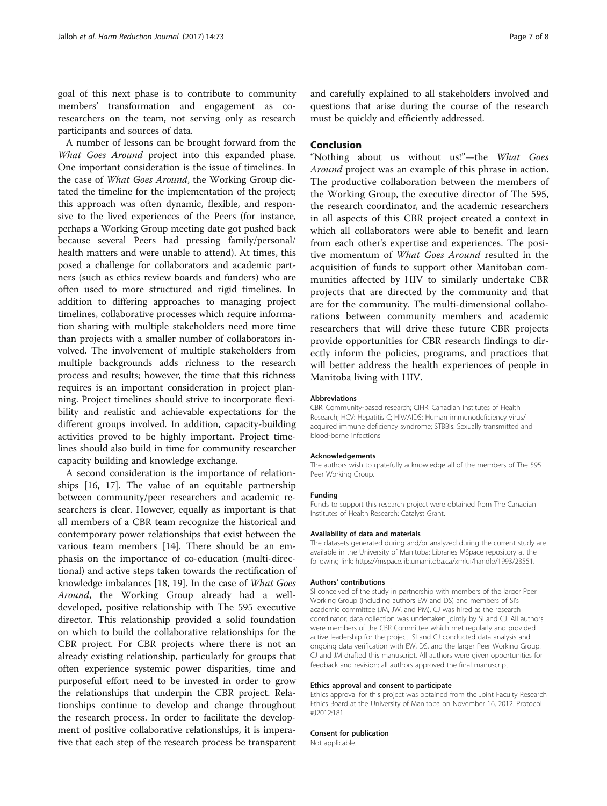goal of this next phase is to contribute to community members' transformation and engagement as coresearchers on the team, not serving only as research participants and sources of data.

A number of lessons can be brought forward from the What Goes Around project into this expanded phase. One important consideration is the issue of timelines. In the case of What Goes Around, the Working Group dictated the timeline for the implementation of the project; this approach was often dynamic, flexible, and responsive to the lived experiences of the Peers (for instance, perhaps a Working Group meeting date got pushed back because several Peers had pressing family/personal/ health matters and were unable to attend). At times, this posed a challenge for collaborators and academic partners (such as ethics review boards and funders) who are often used to more structured and rigid timelines. In addition to differing approaches to managing project timelines, collaborative processes which require information sharing with multiple stakeholders need more time than projects with a smaller number of collaborators involved. The involvement of multiple stakeholders from multiple backgrounds adds richness to the research process and results; however, the time that this richness requires is an important consideration in project planning. Project timelines should strive to incorporate flexibility and realistic and achievable expectations for the different groups involved. In addition, capacity-building activities proved to be highly important. Project timelines should also build in time for community researcher capacity building and knowledge exchange.

A second consideration is the importance of relationships [[16, 17](#page-7-0)]. The value of an equitable partnership between community/peer researchers and academic researchers is clear. However, equally as important is that all members of a CBR team recognize the historical and contemporary power relationships that exist between the various team members [[14](#page-7-0)]. There should be an emphasis on the importance of co-education (multi-directional) and active steps taken towards the rectification of knowledge imbalances [\[18](#page-7-0), [19](#page-7-0)]. In the case of What Goes Around, the Working Group already had a welldeveloped, positive relationship with The 595 executive director. This relationship provided a solid foundation on which to build the collaborative relationships for the CBR project. For CBR projects where there is not an already existing relationship, particularly for groups that often experience systemic power disparities, time and purposeful effort need to be invested in order to grow the relationships that underpin the CBR project. Relationships continue to develop and change throughout the research process. In order to facilitate the development of positive collaborative relationships, it is imperative that each step of the research process be transparent

and carefully explained to all stakeholders involved and questions that arise during the course of the research must be quickly and efficiently addressed.

#### Conclusion

"Nothing about us without us!"—the What Goes Around project was an example of this phrase in action. The productive collaboration between the members of the Working Group, the executive director of The 595, the research coordinator, and the academic researchers in all aspects of this CBR project created a context in which all collaborators were able to benefit and learn from each other's expertise and experiences. The positive momentum of What Goes Around resulted in the acquisition of funds to support other Manitoban communities affected by HIV to similarly undertake CBR projects that are directed by the community and that are for the community. The multi-dimensional collaborations between community members and academic researchers that will drive these future CBR projects provide opportunities for CBR research findings to directly inform the policies, programs, and practices that will better address the health experiences of people in Manitoba living with HIV.

#### **Abbreviations**

CBR: Community-based research; CIHR: Canadian Institutes of Health Research; HCV: Hepatitis C; HIV/AIDS: Human immunodeficiency virus/ acquired immune deficiency syndrome; STBBIs: Sexually transmitted and blood-borne infections

#### Acknowledgements

The authors wish to gratefully acknowledge all of the members of The 595 Peer Working Group.

#### Funding

Funds to support this research project were obtained from The Canadian Institutes of Health Research: Catalyst Grant.

#### Availability of data and materials

The datasets generated during and/or analyzed during the current study are available in the University of Manitoba: Libraries MSpace repository at the following link: [https://mspace.lib.umanitoba.ca/xmlui/handle/1993/23551.](https://mspace.lib.umanitoba.ca/xmlui/handle/1993/23551)

#### Authors' contributions

SI conceived of the study in partnership with members of the larger Peer Working Group (including authors EW and DS) and members of SI's academic committee (JM, JW, and PM). CJ was hired as the research coordinator; data collection was undertaken jointly by SI and CJ. All authors were members of the CBR Committee which met regularly and provided active leadership for the project. SI and CJ conducted data analysis and ongoing data verification with EW, DS, and the larger Peer Working Group. CJ and JM drafted this manuscript. All authors were given opportunities for feedback and revision; all authors approved the final manuscript.

#### Ethics approval and consent to participate

Ethics approval for this project was obtained from the Joint Faculty Research Ethics Board at the University of Manitoba on November 16, 2012. Protocol #J2012:181.

#### Consent for publication

Not applicable.